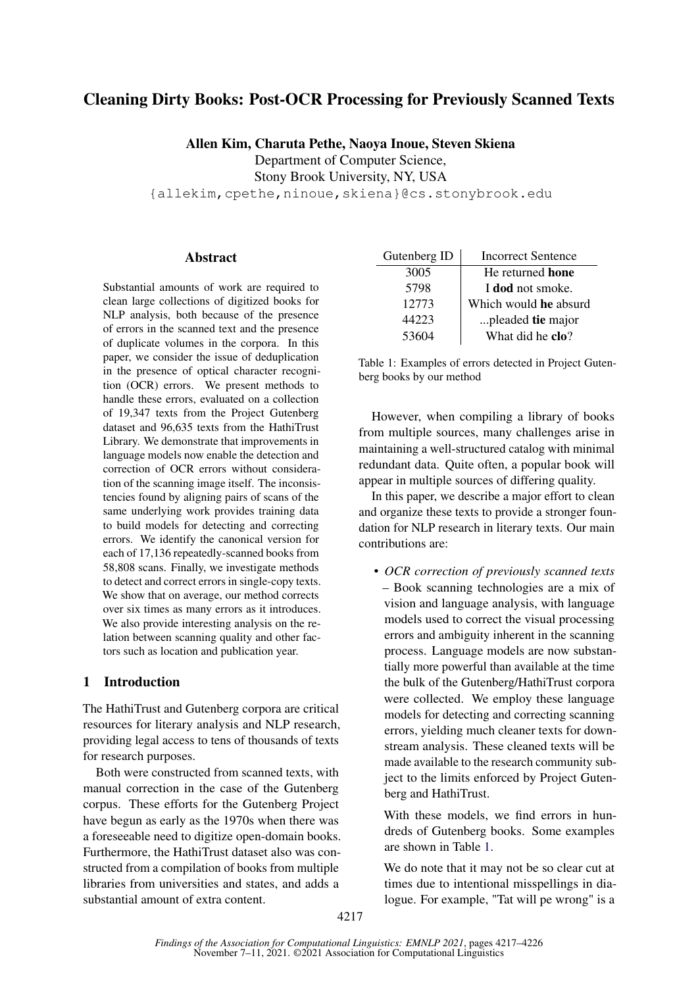# Cleaning Dirty Books: Post-OCR Processing for Previously Scanned Texts

Allen Kim, Charuta Pethe, Naoya Inoue, Steven Skiena Department of Computer Science, Stony Brook University, NY, USA

{allekim,cpethe,ninoue,skiena}@cs.stonybrook.edu

### **Abstract**

Substantial amounts of work are required to clean large collections of digitized books for NLP analysis, both because of the presence of errors in the scanned text and the presence of duplicate volumes in the corpora. In this paper, we consider the issue of deduplication in the presence of optical character recognition (OCR) errors. We present methods to handle these errors, evaluated on a collection of 19,347 texts from the Project Gutenberg dataset and 96,635 texts from the HathiTrust Library. We demonstrate that improvements in language models now enable the detection and correction of OCR errors without consideration of the scanning image itself. The inconsistencies found by aligning pairs of scans of the same underlying work provides training data to build models for detecting and correcting errors. We identify the canonical version for each of 17,136 repeatedly-scanned books from 58,808 scans. Finally, we investigate methods to detect and correct errors in single-copy texts. We show that on average, our method corrects over six times as many errors as it introduces. We also provide interesting analysis on the relation between scanning quality and other factors such as location and publication year.

## <span id="page-0-1"></span>1 Introduction

The HathiTrust and Gutenberg corpora are critical resources for literary analysis and NLP research, providing legal access to tens of thousands of texts for research purposes.

Both were constructed from scanned texts, with manual correction in the case of the Gutenberg corpus. These efforts for the Gutenberg Project have begun as early as the 1970s when there was a foreseeable need to digitize open-domain books. Furthermore, the HathiTrust dataset also was constructed from a compilation of books from multiple libraries from universities and states, and adds a substantial amount of extra content.

<span id="page-0-0"></span>

| Gutenberg ID | <b>Incorrect Sentence</b> |
|--------------|---------------------------|
| 3005         | He returned <b>hone</b>   |
| 5798         | I dod not smoke.          |
| 12773        | Which would he absurd     |
| 44223        | pleaded tie major         |
| 53604        | What did he clo?          |

Table 1: Examples of errors detected in Project Gutenberg books by our method

However, when compiling a library of books from multiple sources, many challenges arise in maintaining a well-structured catalog with minimal redundant data. Quite often, a popular book will appear in multiple sources of differing quality.

In this paper, we describe a major effort to clean and organize these texts to provide a stronger foundation for NLP research in literary texts. Our main contributions are:

• *OCR correction of previously scanned texts* – Book scanning technologies are a mix of vision and language analysis, with language models used to correct the visual processing errors and ambiguity inherent in the scanning process. Language models are now substantially more powerful than available at the time the bulk of the Gutenberg/HathiTrust corpora were collected. We employ these language models for detecting and correcting scanning errors, yielding much cleaner texts for downstream analysis. These cleaned texts will be made available to the research community subject to the limits enforced by Project Gutenberg and HathiTrust.

With these models, we find errors in hundreds of Gutenberg books. Some examples are shown in Table [1.](#page-0-0)

We do note that it may not be so clear cut at times due to intentional misspellings in dialogue. For example, "Tat will pe wrong" is a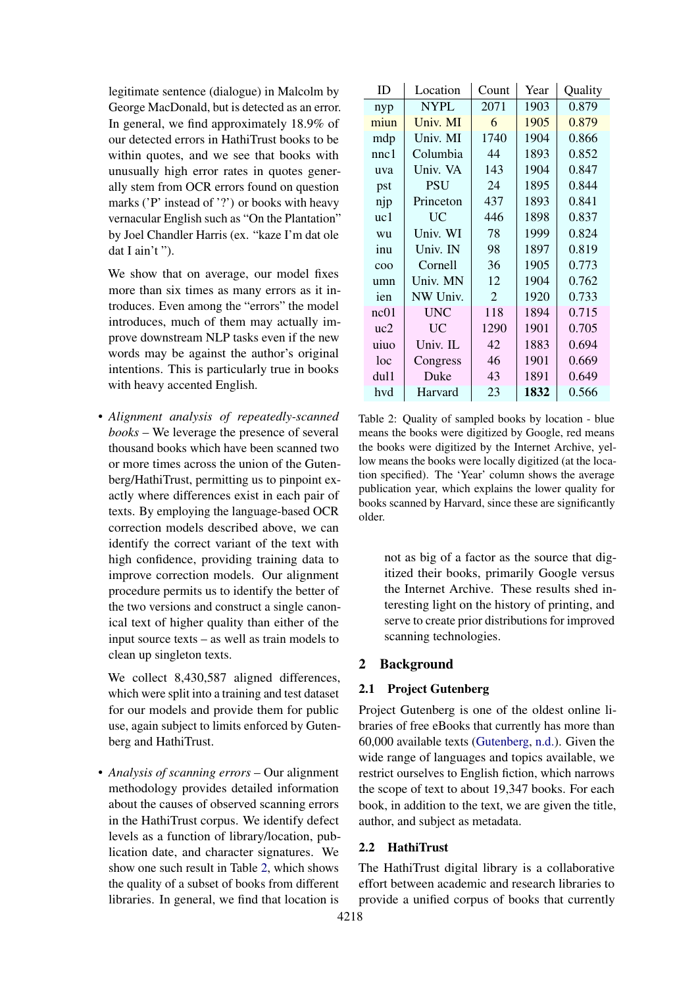legitimate sentence (dialogue) in Malcolm by George MacDonald, but is detected as an error. In general, we find approximately 18.9% of our detected errors in HathiTrust books to be within quotes, and we see that books with unusually high error rates in quotes generally stem from OCR errors found on question marks ('P' instead of '?') or books with heavy vernacular English such as "On the Plantation" by Joel Chandler Harris (ex. "kaze I'm dat ole dat I ain't ").

We show that on average, our model fixes more than six times as many errors as it introduces. Even among the "errors" the model introduces, much of them may actually improve downstream NLP tasks even if the new words may be against the author's original intentions. This is particularly true in books with heavy accented English.

• *Alignment analysis of repeatedly-scanned books* – We leverage the presence of several thousand books which have been scanned two or more times across the union of the Gutenberg/HathiTrust, permitting us to pinpoint exactly where differences exist in each pair of texts. By employing the language-based OCR correction models described above, we can identify the correct variant of the text with high confidence, providing training data to improve correction models. Our alignment procedure permits us to identify the better of the two versions and construct a single canonical text of higher quality than either of the input source texts – as well as train models to clean up singleton texts.

We collect 8.430,587 aligned differences, which were split into a training and test dataset for our models and provide them for public use, again subject to limits enforced by Gutenberg and HathiTrust.

• *Analysis of scanning errors* – Our alignment methodology provides detailed information about the causes of observed scanning errors in the HathiTrust corpus. We identify defect levels as a function of library/location, publication date, and character signatures. We show one such result in Table [2,](#page-1-0) which shows the quality of a subset of books from different libraries. In general, we find that location is

<span id="page-1-0"></span>

| ID             | Location    | Count          | Year | Quality |
|----------------|-------------|----------------|------|---------|
| nyp            | <b>NYPL</b> | 2071           | 1903 | 0.879   |
| miun           | Univ. MI    | 6              | 1905 | 0.879   |
| mdp            | Univ. MI    | 1740           | 1904 | 0.866   |
| nnc1           | Columbia    | 44             | 1893 | 0.852   |
| uva            | Univ. VA    | 143            | 1904 | 0.847   |
| pst            | <b>PSU</b>  | 24             | 1895 | 0.844   |
| njp            | Princeton   | 437            | 1893 | 0.841   |
| uc1            | UC          | 446            | 1898 | 0.837   |
| wu             | Univ. WI    | 78             | 1999 | 0.824   |
| inu            | Univ. IN    | 98             | 1897 | 0.819   |
| c <sub>0</sub> | Cornell     | 36             | 1905 | 0.773   |
| umn            | Univ. MN    | 12             | 1904 | 0.762   |
| ien            | NW Univ.    | $\overline{2}$ | 1920 | 0.733   |
| nc01           | UNC         | 118            | 1894 | 0.715   |
| uc2            | <b>UC</b>   | 1290           | 1901 | 0.705   |
| uiuo           | Univ. IL    | 42             | 1883 | 0.694   |
| loc            | Congress    | 46             | 1901 | 0.669   |
| dul1           | Duke        | 43             | 1891 | 0.649   |
| hvd            | Harvard     | 23             | 1832 | 0.566   |

Table 2: Quality of sampled books by location - blue means the books were digitized by Google, red means the books were digitized by the Internet Archive, yellow means the books were locally digitized (at the location specified). The 'Year' column shows the average publication year, which explains the lower quality for books scanned by Harvard, since these are significantly older.

not as big of a factor as the source that digitized their books, primarily Google versus the Internet Archive. These results shed interesting light on the history of printing, and serve to create prior distributions for improved scanning technologies.

## 2 Background

#### 2.1 Project Gutenberg

Project Gutenberg is one of the oldest online libraries of free eBooks that currently has more than 60,000 available texts [\(Gutenberg,](#page-8-0) [n.d.\)](#page-8-0). Given the wide range of languages and topics available, we restrict ourselves to English fiction, which narrows the scope of text to about 19,347 books. For each book, in addition to the text, we are given the title, author, and subject as metadata.

## 2.2 HathiTrust

The HathiTrust digital library is a collaborative effort between academic and research libraries to provide a unified corpus of books that currently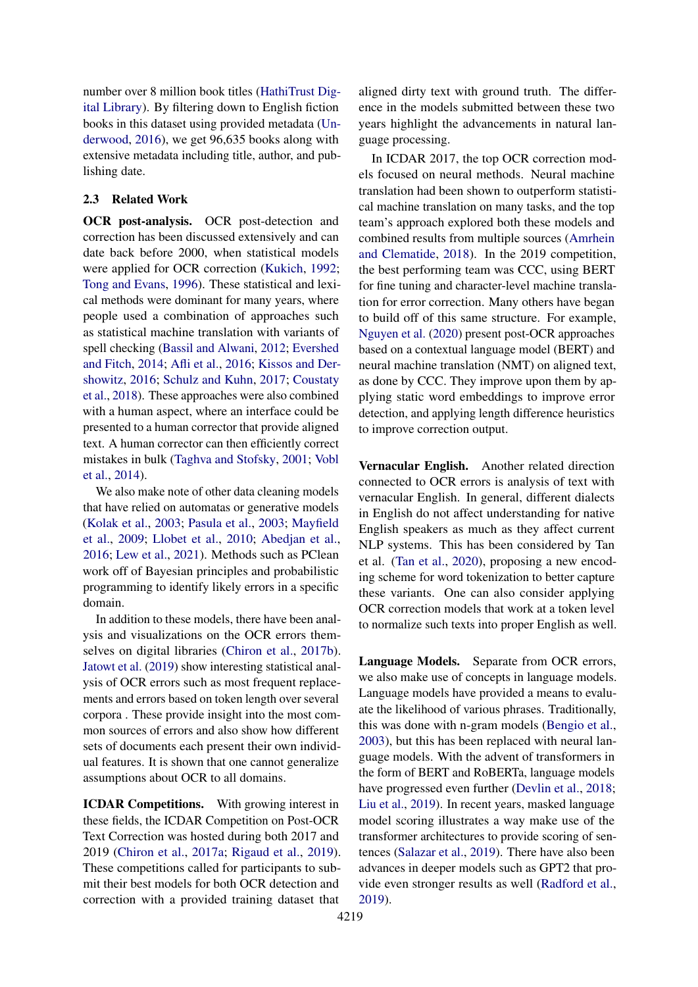number over 8 million book titles [\(HathiTrust Dig](#page-8-1)[ital Library\)](#page-8-1). By filtering down to English fiction books in this dataset using provided metadata [\(Un](#page-9-0)[derwood,](#page-9-0) [2016\)](#page-9-0), we get 96,635 books along with extensive metadata including title, author, and publishing date.

#### 2.3 Related Work

OCR post-analysis. OCR post-detection and correction has been discussed extensively and can date back before 2000, when statistical models were applied for OCR correction [\(Kukich,](#page-9-1) [1992;](#page-9-1) [Tong and Evans,](#page-9-2) [1996\)](#page-9-2). These statistical and lexical methods were dominant for many years, where people used a combination of approaches such as statistical machine translation with variants of spell checking [\(Bassil and Alwani,](#page-8-2) [2012;](#page-8-2) [Evershed](#page-8-3) [and Fitch,](#page-8-3) [2014;](#page-8-3) [Afli et al.,](#page-8-4) [2016;](#page-8-4) [Kissos and Der](#page-9-3)[showitz,](#page-9-3) [2016;](#page-9-3) [Schulz and Kuhn,](#page-9-4) [2017;](#page-9-4) [Coustaty](#page-8-5) [et al.,](#page-8-5) [2018\)](#page-8-5). These approaches were also combined with a human aspect, where an interface could be presented to a human corrector that provide aligned text. A human corrector can then efficiently correct mistakes in bulk [\(Taghva and Stofsky,](#page-9-5) [2001;](#page-9-5) [Vobl](#page-9-6) [et al.,](#page-9-6) [2014\)](#page-9-6).

We also make note of other data cleaning models that have relied on automatas or generative models [\(Kolak et al.,](#page-9-7) [2003;](#page-9-7) [Pasula et al.,](#page-9-8) [2003;](#page-9-8) [Mayfield](#page-9-9) [et al.,](#page-9-9) [2009;](#page-9-9) [Llobet et al.,](#page-9-10) [2010;](#page-9-10) [Abedjan et al.,](#page-8-6) [2016;](#page-8-6) [Lew et al.,](#page-9-11) [2021\)](#page-9-11). Methods such as PClean work off of Bayesian principles and probabilistic programming to identify likely errors in a specific domain.

In addition to these models, there have been analysis and visualizations on the OCR errors themselves on digital libraries [\(Chiron et al.,](#page-8-7) [2017b\)](#page-8-7). [Jatowt et al.](#page-9-12) [\(2019\)](#page-9-12) show interesting statistical analysis of OCR errors such as most frequent replacements and errors based on token length over several corpora . These provide insight into the most common sources of errors and also show how different sets of documents each present their own individual features. It is shown that one cannot generalize assumptions about OCR to all domains.

ICDAR Competitions. With growing interest in these fields, the ICDAR Competition on Post-OCR Text Correction was hosted during both 2017 and 2019 [\(Chiron et al.,](#page-8-8) [2017a;](#page-8-8) [Rigaud et al.,](#page-9-13) [2019\)](#page-9-13). These competitions called for participants to submit their best models for both OCR detection and correction with a provided training dataset that

aligned dirty text with ground truth. The difference in the models submitted between these two years highlight the advancements in natural language processing.

In ICDAR 2017, the top OCR correction models focused on neural methods. Neural machine translation had been shown to outperform statistical machine translation on many tasks, and the top team's approach explored both these models and combined results from multiple sources [\(Amrhein](#page-8-9) [and Clematide,](#page-8-9) [2018\)](#page-8-9). In the 2019 competition, the best performing team was CCC, using BERT for fine tuning and character-level machine translation for error correction. Many others have began to build off of this same structure. For example, [Nguyen et al.](#page-9-14) [\(2020\)](#page-9-14) present post-OCR approaches based on a contextual language model (BERT) and neural machine translation (NMT) on aligned text, as done by CCC. They improve upon them by applying static word embeddings to improve error detection, and applying length difference heuristics to improve correction output.

Vernacular English. Another related direction connected to OCR errors is analysis of text with vernacular English. In general, different dialects in English do not affect understanding for native English speakers as much as they affect current NLP systems. This has been considered by Tan et al. [\(Tan et al.,](#page-9-15) [2020\)](#page-9-15), proposing a new encoding scheme for word tokenization to better capture these variants. One can also consider applying OCR correction models that work at a token level to normalize such texts into proper English as well.

Language Models. Separate from OCR errors, we also make use of concepts in language models. Language models have provided a means to evaluate the likelihood of various phrases. Traditionally, this was done with n-gram models [\(Bengio et al.,](#page-8-10) [2003\)](#page-8-10), but this has been replaced with neural language models. With the advent of transformers in the form of BERT and RoBERTa, language models have progressed even further [\(Devlin et al.,](#page-8-11) [2018;](#page-8-11) [Liu et al.,](#page-9-16) [2019\)](#page-9-16). In recent years, masked language model scoring illustrates a way make use of the transformer architectures to provide scoring of sentences [\(Salazar et al.,](#page-9-17) [2019\)](#page-9-17). There have also been advances in deeper models such as GPT2 that provide even stronger results as well [\(Radford et al.,](#page-9-18) [2019\)](#page-9-18).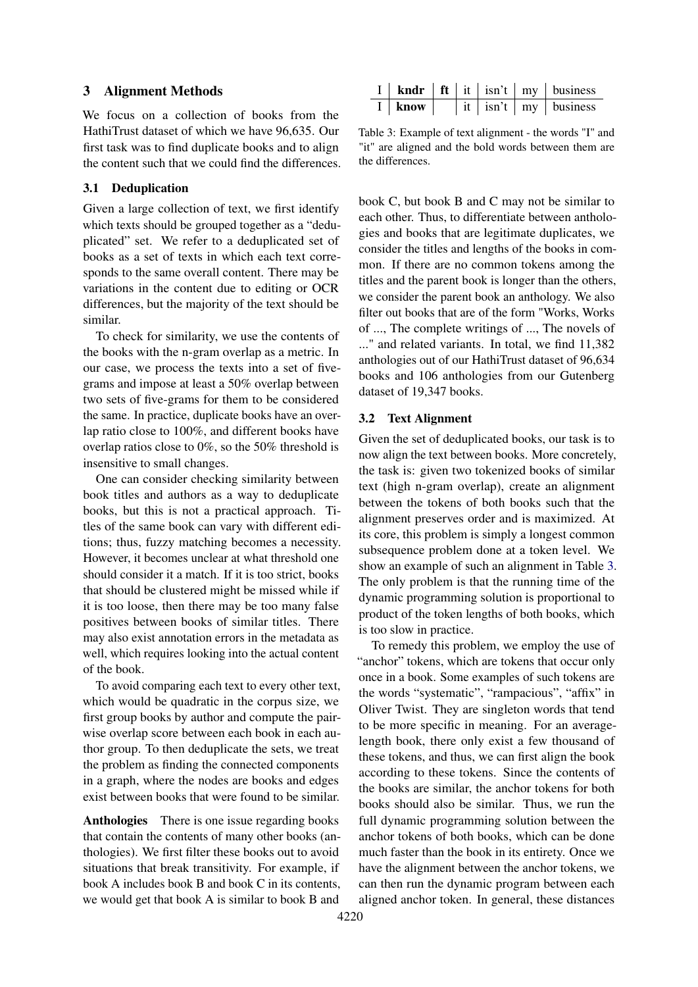#### <span id="page-3-1"></span>3 Alignment Methods

We focus on a collection of books from the HathiTrust dataset of which we have 96,635. Our first task was to find duplicate books and to align the content such that we could find the differences.

## 3.1 Deduplication

Given a large collection of text, we first identify which texts should be grouped together as a "deduplicated" set. We refer to a deduplicated set of books as a set of texts in which each text corresponds to the same overall content. There may be variations in the content due to editing or OCR differences, but the majority of the text should be similar.

To check for similarity, we use the contents of the books with the n-gram overlap as a metric. In our case, we process the texts into a set of fivegrams and impose at least a 50% overlap between two sets of five-grams for them to be considered the same. In practice, duplicate books have an overlap ratio close to 100%, and different books have overlap ratios close to 0%, so the 50% threshold is insensitive to small changes.

One can consider checking similarity between book titles and authors as a way to deduplicate books, but this is not a practical approach. Titles of the same book can vary with different editions; thus, fuzzy matching becomes a necessity. However, it becomes unclear at what threshold one should consider it a match. If it is too strict, books that should be clustered might be missed while if it is too loose, then there may be too many false positives between books of similar titles. There may also exist annotation errors in the metadata as well, which requires looking into the actual content of the book.

To avoid comparing each text to every other text, which would be quadratic in the corpus size, we first group books by author and compute the pairwise overlap score between each book in each author group. To then deduplicate the sets, we treat the problem as finding the connected components in a graph, where the nodes are books and edges exist between books that were found to be similar.

Anthologies There is one issue regarding books that contain the contents of many other books (anthologies). We first filter these books out to avoid situations that break transitivity. For example, if book A includes book B and book C in its contents, we would get that book A is similar to book B and

<span id="page-3-0"></span>

|      |  |  | <b>kndr</b>   ft   it   isn't   my   business |
|------|--|--|-----------------------------------------------|
| know |  |  | it $ \sin't $ my $ \cosines$                  |

Table 3: Example of text alignment - the words "I" and "it" are aligned and the bold words between them are the differences.

book C, but book B and C may not be similar to each other. Thus, to differentiate between anthologies and books that are legitimate duplicates, we consider the titles and lengths of the books in common. If there are no common tokens among the titles and the parent book is longer than the others, we consider the parent book an anthology. We also filter out books that are of the form "Works, Works of ..., The complete writings of ..., The novels of ..." and related variants. In total, we find 11,382 anthologies out of our HathiTrust dataset of 96,634 books and 106 anthologies from our Gutenberg dataset of 19,347 books.

#### 3.2 Text Alignment

Given the set of deduplicated books, our task is to now align the text between books. More concretely, the task is: given two tokenized books of similar text (high n-gram overlap), create an alignment between the tokens of both books such that the alignment preserves order and is maximized. At its core, this problem is simply a longest common subsequence problem done at a token level. We show an example of such an alignment in Table [3.](#page-3-0) The only problem is that the running time of the dynamic programming solution is proportional to product of the token lengths of both books, which is too slow in practice.

To remedy this problem, we employ the use of "anchor" tokens, which are tokens that occur only once in a book. Some examples of such tokens are the words "systematic", "rampacious", "affix" in Oliver Twist. They are singleton words that tend to be more specific in meaning. For an averagelength book, there only exist a few thousand of these tokens, and thus, we can first align the book according to these tokens. Since the contents of the books are similar, the anchor tokens for both books should also be similar. Thus, we run the full dynamic programming solution between the anchor tokens of both books, which can be done much faster than the book in its entirety. Once we have the alignment between the anchor tokens, we can then run the dynamic program between each aligned anchor token. In general, these distances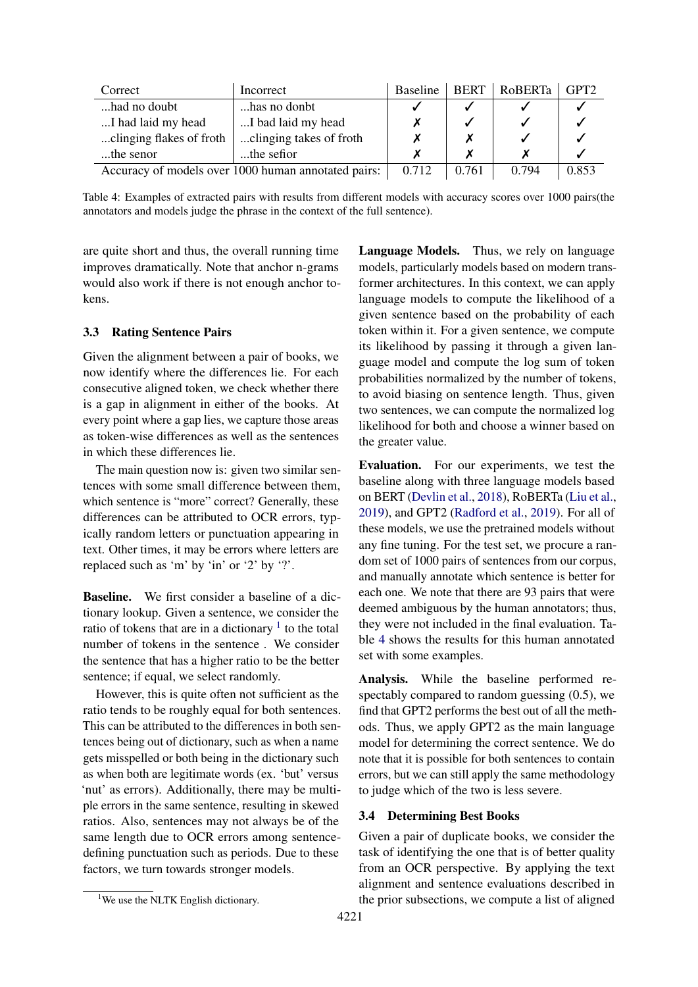<span id="page-4-1"></span>

| Correct                                             | Incorrect    | <b>Baseline</b> | <b>BERT</b> | RoBERTa | GPT <sub>2</sub> |
|-----------------------------------------------------|--------------|-----------------|-------------|---------|------------------|
| had no doubt                                        | has no donbt |                 |             |         |                  |
| I bad laid my head<br>I had laid my head            |              |                 |             |         |                  |
| clinging takes of froth<br>clinging flakes of froth |              |                 |             |         |                  |
| the sefior<br>the senor                             |              |                 |             |         |                  |
| Accuracy of models over 1000 human annotated pairs: | 0.712        | 0.761           | 0.794       | 0.853   |                  |

Table 4: Examples of extracted pairs with results from different models with accuracy scores over 1000 pairs(the annotators and models judge the phrase in the context of the full sentence).

are quite short and thus, the overall running time improves dramatically. Note that anchor n-grams would also work if there is not enough anchor tokens.

#### 3.3 Rating Sentence Pairs

Given the alignment between a pair of books, we now identify where the differences lie. For each consecutive aligned token, we check whether there is a gap in alignment in either of the books. At every point where a gap lies, we capture those areas as token-wise differences as well as the sentences in which these differences lie.

The main question now is: given two similar sentences with some small difference between them, which sentence is "more" correct? Generally, these differences can be attributed to OCR errors, typically random letters or punctuation appearing in text. Other times, it may be errors where letters are replaced such as 'm' by 'in' or '2' by '?'.

Baseline. We first consider a baseline of a dictionary lookup. Given a sentence, we consider the ratio of tokens that are in a dictionary  $\frac{1}{1}$  $\frac{1}{1}$  $\frac{1}{1}$  to the total number of tokens in the sentence . We consider the sentence that has a higher ratio to be the better sentence; if equal, we select randomly.

However, this is quite often not sufficient as the ratio tends to be roughly equal for both sentences. This can be attributed to the differences in both sentences being out of dictionary, such as when a name gets misspelled or both being in the dictionary such as when both are legitimate words (ex. 'but' versus 'nut' as errors). Additionally, there may be multiple errors in the same sentence, resulting in skewed ratios. Also, sentences may not always be of the same length due to OCR errors among sentencedefining punctuation such as periods. Due to these factors, we turn towards stronger models.

Language Models. Thus, we rely on language models, particularly models based on modern transformer architectures. In this context, we can apply language models to compute the likelihood of a given sentence based on the probability of each token within it. For a given sentence, we compute its likelihood by passing it through a given language model and compute the log sum of token probabilities normalized by the number of tokens, to avoid biasing on sentence length. Thus, given two sentences, we can compute the normalized log likelihood for both and choose a winner based on the greater value.

Evaluation. For our experiments, we test the baseline along with three language models based on BERT [\(Devlin et al.,](#page-8-11) [2018\)](#page-8-11), RoBERTa [\(Liu et al.,](#page-9-16) [2019\)](#page-9-16), and GPT2 [\(Radford et al.,](#page-9-18) [2019\)](#page-9-18). For all of these models, we use the pretrained models without any fine tuning. For the test set, we procure a random set of 1000 pairs of sentences from our corpus, and manually annotate which sentence is better for each one. We note that there are 93 pairs that were deemed ambiguous by the human annotators; thus, they were not included in the final evaluation. Table [4](#page-4-1) shows the results for this human annotated set with some examples.

Analysis. While the baseline performed respectably compared to random guessing (0.5), we find that GPT2 performs the best out of all the methods. Thus, we apply GPT2 as the main language model for determining the correct sentence. We do note that it is possible for both sentences to contain errors, but we can still apply the same methodology to judge which of the two is less severe.

#### 3.4 Determining Best Books

Given a pair of duplicate books, we consider the task of identifying the one that is of better quality from an OCR perspective. By applying the text alignment and sentence evaluations described in the prior subsections, we compute a list of aligned

<span id="page-4-0"></span><sup>&</sup>lt;sup>1</sup>We use the NLTK English dictionary.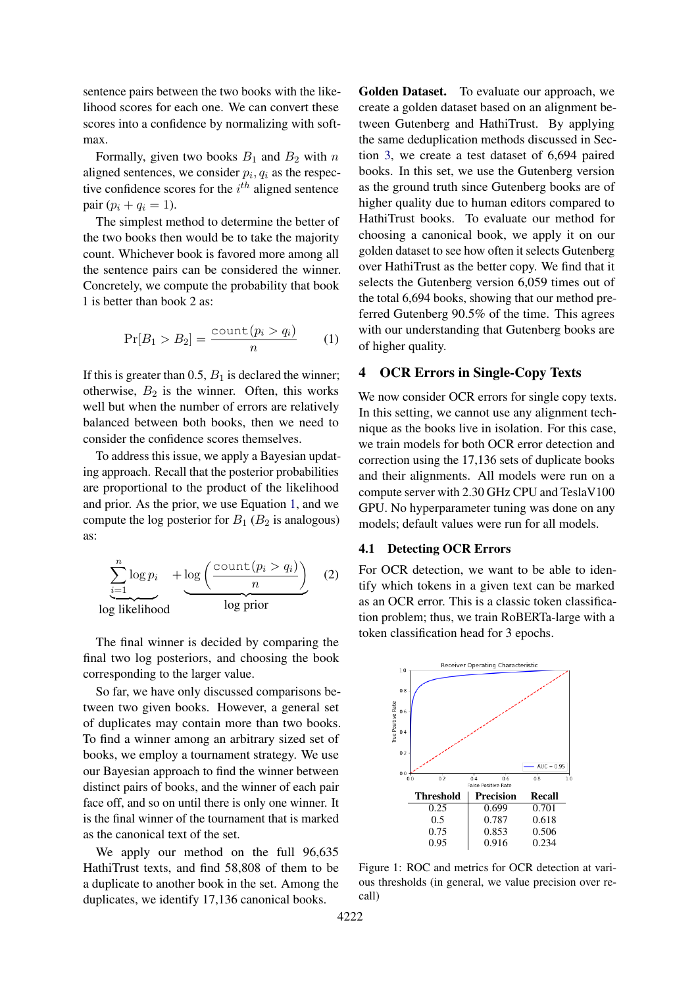sentence pairs between the two books with the likelihood scores for each one. We can convert these scores into a confidence by normalizing with softmax.

Formally, given two books  $B_1$  and  $B_2$  with n aligned sentences, we consider  $p_i, q_i$  as the respective confidence scores for the  $i^{th}$  aligned sentence pair  $(p_i + q_i = 1)$ .

The simplest method to determine the better of the two books then would be to take the majority count. Whichever book is favored more among all the sentence pairs can be considered the winner. Concretely, we compute the probability that book 1 is better than book 2 as:

<span id="page-5-0"></span>
$$
\Pr[B_1 > B_2] = \frac{\text{count}(p_i > q_i)}{n} \qquad (1)
$$

If this is greater than 0.5,  $B_1$  is declared the winner; otherwise,  $B_2$  is the winner. Often, this works well but when the number of errors are relatively balanced between both books, then we need to consider the confidence scores themselves.

To address this issue, we apply a Bayesian updating approach. Recall that the posterior probabilities are proportional to the product of the likelihood and prior. As the prior, we use Equation [1,](#page-5-0) and we compute the log posterior for  $B_1$  ( $B_2$  is analogous) as:

$$
\underbrace{\sum_{i=1}^{n} \log p_i}_{\log\text{ likelihood}} + \underbrace{\log \left( \frac{\text{count}(p_i > q_i)}{n} \right)}_{\log\text{ prior}} \quad (2)
$$

The final winner is decided by comparing the final two log posteriors, and choosing the book corresponding to the larger value.

So far, we have only discussed comparisons between two given books. However, a general set of duplicates may contain more than two books. To find a winner among an arbitrary sized set of books, we employ a tournament strategy. We use our Bayesian approach to find the winner between distinct pairs of books, and the winner of each pair face off, and so on until there is only one winner. It is the final winner of the tournament that is marked as the canonical text of the set.

We apply our method on the full 96,635 HathiTrust texts, and find 58,808 of them to be a duplicate to another book in the set. Among the duplicates, we identify 17,136 canonical books.

Golden Dataset. To evaluate our approach, we create a golden dataset based on an alignment between Gutenberg and HathiTrust. By applying the same deduplication methods discussed in Section [3,](#page-3-1) we create a test dataset of 6,694 paired books. In this set, we use the Gutenberg version as the ground truth since Gutenberg books are of higher quality due to human editors compared to HathiTrust books. To evaluate our method for choosing a canonical book, we apply it on our golden dataset to see how often it selects Gutenberg over HathiTrust as the better copy. We find that it selects the Gutenberg version 6,059 times out of the total 6,694 books, showing that our method preferred Gutenberg 90.5% of the time. This agrees with our understanding that Gutenberg books are of higher quality.

#### 4 OCR Errors in Single-Copy Texts

We now consider OCR errors for single copy texts. In this setting, we cannot use any alignment technique as the books live in isolation. For this case, we train models for both OCR error detection and correction using the 17,136 sets of duplicate books and their alignments. All models were run on a compute server with 2.30 GHz CPU and TeslaV100 GPU. No hyperparameter tuning was done on any models; default values were run for all models.

### 4.1 Detecting OCR Errors

For OCR detection, we want to be able to identify which tokens in a given text can be marked as an OCR error. This is a classic token classification problem; thus, we train RoBERTa-large with a token classification head for 3 epochs.

<span id="page-5-1"></span>

Figure 1: ROC and metrics for OCR detection at various thresholds (in general, we value precision over recall)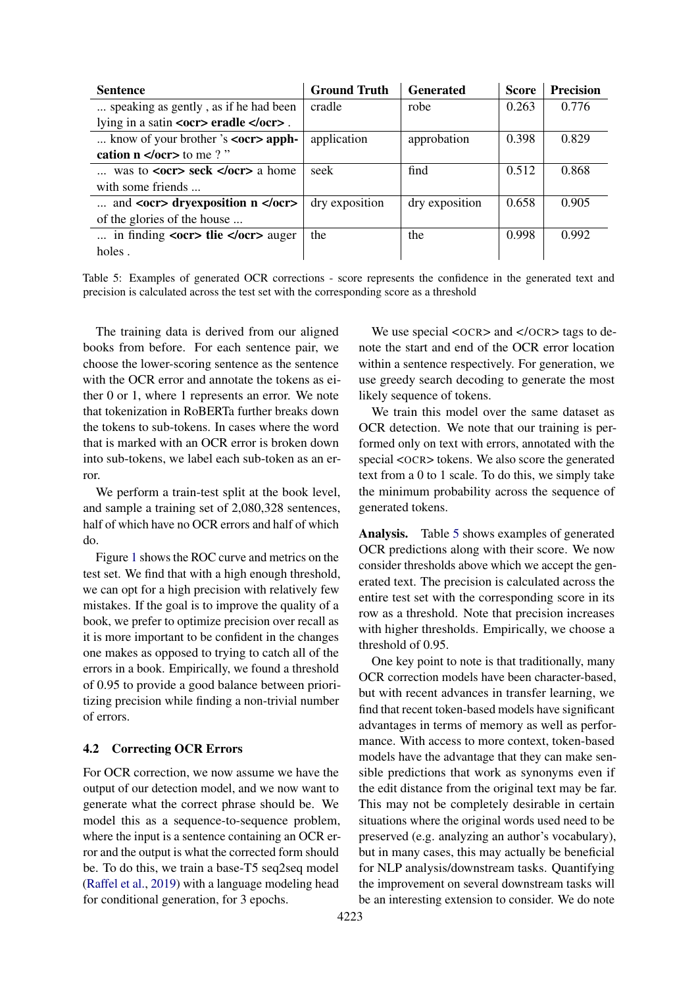<span id="page-6-0"></span>

| <b>Sentence</b>                                                     | <b>Ground Truth</b> | <b>Generated</b> | <b>Score</b> | <b>Precision</b> |
|---------------------------------------------------------------------|---------------------|------------------|--------------|------------------|
| speaking as gently, as if he had been                               | cradle              | robe             | 0.263        | 0.776            |
| lying in a satin < $ocr$ eradle < $/ocr$ .                          |                     |                  |              |                  |
| know of your brother 's $\langle$ <b>ocr&gt;</b> apph-              | application         | approbation      | 0.398        | 0.829            |
| cation $n \le$ /ocr>to me ? "                                       |                     |                  |              |                  |
| was to $\langle$ ocr $\rangle$ seck $\langle$ /ocr $\rangle$ a home | seek                | find             | 0.512        | 0.868            |
| with some friends                                                   |                     |                  |              |                  |
| and $<$ ocr> dryexposition n $<$ /ocr>                              | dry exposition      | dry exposition   | 0.658        | 0.905            |
| of the glories of the house                                         |                     |                  |              |                  |
| in finding $ocr$ the $/ocr$ auger                                   | the                 | the              | 0.998        | 0.992            |
| holes.                                                              |                     |                  |              |                  |

Table 5: Examples of generated OCR corrections - score represents the confidence in the generated text and precision is calculated across the test set with the corresponding score as a threshold

The training data is derived from our aligned books from before. For each sentence pair, we choose the lower-scoring sentence as the sentence with the OCR error and annotate the tokens as either 0 or 1, where 1 represents an error. We note that tokenization in RoBERTa further breaks down the tokens to sub-tokens. In cases where the word that is marked with an OCR error is broken down into sub-tokens, we label each sub-token as an error.

We perform a train-test split at the book level, and sample a training set of 2,080,328 sentences, half of which have no OCR errors and half of which do.

Figure [1](#page-5-1) shows the ROC curve and metrics on the test set. We find that with a high enough threshold, we can opt for a high precision with relatively few mistakes. If the goal is to improve the quality of a book, we prefer to optimize precision over recall as it is more important to be confident in the changes one makes as opposed to trying to catch all of the errors in a book. Empirically, we found a threshold of 0.95 to provide a good balance between prioritizing precision while finding a non-trivial number of errors.

#### 4.2 Correcting OCR Errors

For OCR correction, we now assume we have the output of our detection model, and we now want to generate what the correct phrase should be. We model this as a sequence-to-sequence problem, where the input is a sentence containing an OCR error and the output is what the corrected form should be. To do this, we train a base-T5 seq2seq model [\(Raffel et al.,](#page-9-19) [2019\)](#page-9-19) with a language modeling head for conditional generation, for 3 epochs.

We use special <OCR> and </OCR> tags to denote the start and end of the OCR error location within a sentence respectively. For generation, we use greedy search decoding to generate the most likely sequence of tokens.

We train this model over the same dataset as OCR detection. We note that our training is performed only on text with errors, annotated with the special <OCR> tokens. We also score the generated text from a 0 to 1 scale. To do this, we simply take the minimum probability across the sequence of generated tokens.

Analysis. Table [5](#page-6-0) shows examples of generated OCR predictions along with their score. We now consider thresholds above which we accept the generated text. The precision is calculated across the entire test set with the corresponding score in its row as a threshold. Note that precision increases with higher thresholds. Empirically, we choose a threshold of 0.95.

One key point to note is that traditionally, many OCR correction models have been character-based, but with recent advances in transfer learning, we find that recent token-based models have significant advantages in terms of memory as well as performance. With access to more context, token-based models have the advantage that they can make sensible predictions that work as synonyms even if the edit distance from the original text may be far. This may not be completely desirable in certain situations where the original words used need to be preserved (e.g. analyzing an author's vocabulary), but in many cases, this may actually be beneficial for NLP analysis/downstream tasks. Quantifying the improvement on several downstream tasks will be an interesting extension to consider. We do note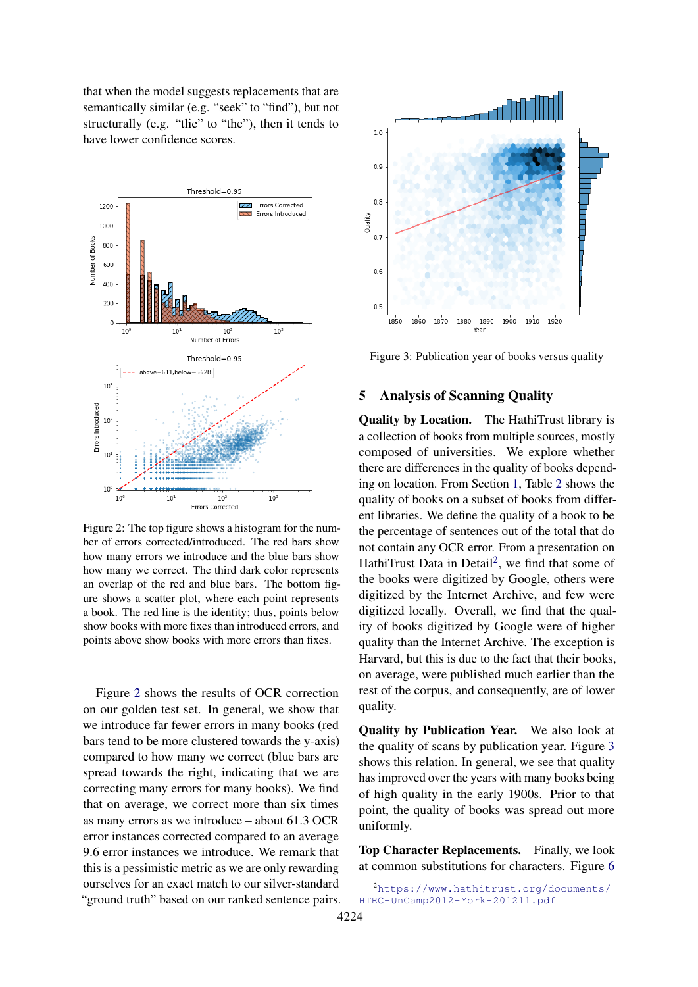that when the model suggests replacements that are semantically similar (e.g. "seek" to "find"), but not structurally (e.g. "tlie" to "the"), then it tends to have lower confidence scores.

<span id="page-7-0"></span>

Figure 2: The top figure shows a histogram for the number of errors corrected/introduced. The red bars show how many errors we introduce and the blue bars show how many we correct. The third dark color represents an overlap of the red and blue bars. The bottom figure shows a scatter plot, where each point represents a book. The red line is the identity; thus, points below show books with more fixes than introduced errors, and points above show books with more errors than fixes.

Figure [2](#page-7-0) shows the results of OCR correction on our golden test set. In general, we show that we introduce far fewer errors in many books (red bars tend to be more clustered towards the y-axis) compared to how many we correct (blue bars are spread towards the right, indicating that we are correcting many errors for many books). We find that on average, we correct more than six times as many errors as we introduce – about 61.3 OCR error instances corrected compared to an average 9.6 error instances we introduce. We remark that this is a pessimistic metric as we are only rewarding ourselves for an exact match to our silver-standard "ground truth" based on our ranked sentence pairs.

<span id="page-7-2"></span>

Figure 3: Publication year of books versus quality

## 5 Analysis of Scanning Quality

Quality by Location. The HathiTrust library is a collection of books from multiple sources, mostly composed of universities. We explore whether there are differences in the quality of books depending on location. From Section [1,](#page-0-1) Table [2](#page-1-0) shows the quality of books on a subset of books from different libraries. We define the quality of a book to be the percentage of sentences out of the total that do not contain any OCR error. From a presentation on HathiTrust Data in Detail<sup>[2](#page-7-1)</sup>, we find that some of the books were digitized by Google, others were digitized by the Internet Archive, and few were digitized locally. Overall, we find that the quality of books digitized by Google were of higher quality than the Internet Archive. The exception is Harvard, but this is due to the fact that their books, on average, were published much earlier than the rest of the corpus, and consequently, are of lower quality.

Quality by Publication Year. We also look at the quality of scans by publication year. Figure [3](#page-7-2) shows this relation. In general, we see that quality has improved over the years with many books being of high quality in the early 1900s. Prior to that point, the quality of books was spread out more uniformly.

Top Character Replacements. Finally, we look at common substitutions for characters. Figure [6](#page-8-12)

<span id="page-7-1"></span><sup>2</sup>[https://www.hathitrust.org/documents/](https://www.hathitrust.org/documents/HTRC-UnCamp2012-York-201211.pdf) [HTRC-UnCamp2012-York-201211.pdf](https://www.hathitrust.org/documents/HTRC-UnCamp2012-York-201211.pdf)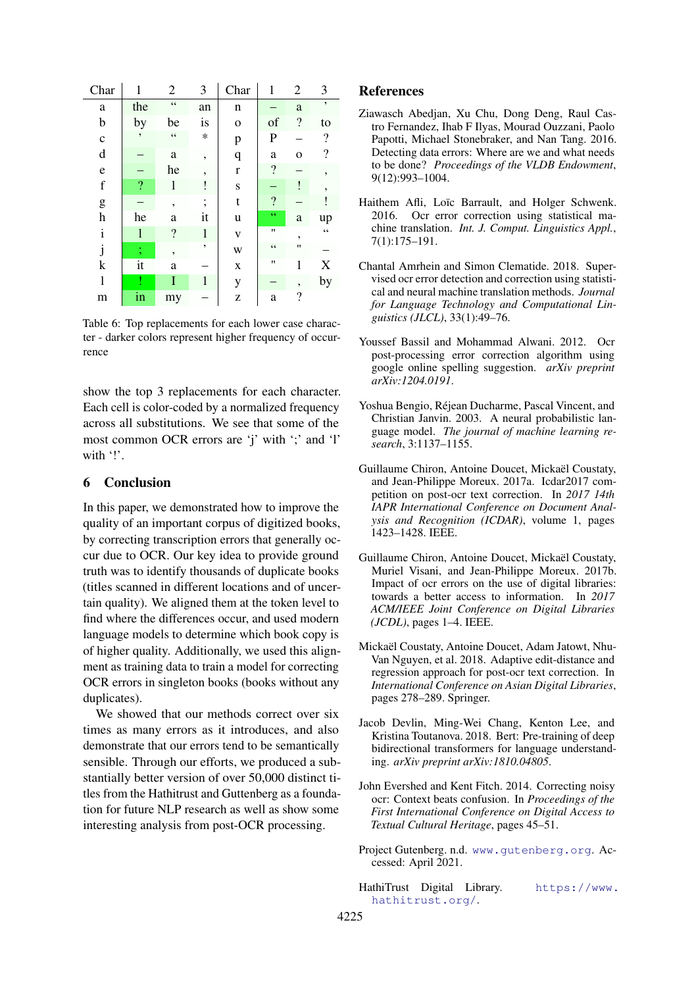<span id="page-8-12"></span>

| Char                      | 1                        | $\overline{c}$           | 3                        | Char         | 1               | $\overline{2}$           | 3                        |
|---------------------------|--------------------------|--------------------------|--------------------------|--------------|-----------------|--------------------------|--------------------------|
| a                         | the                      | $\zeta$ $\zeta$          | an                       | n            |                 | a                        | ,                        |
| b                         | by                       | be                       | is                       | $\mathbf{O}$ | of              | $\overline{\cdot}$       | to                       |
| $\mathbf c$               | ,                        | $\zeta$ $\zeta$          | $\ast$                   | p            | $\mathbf{P}$    |                          | $\overline{\mathcal{L}}$ |
| $\mathbf d$               |                          | a                        | $\overline{\phantom{a}}$ | q            | a               | O                        | $\overline{\cdot}$       |
| $\mathbf e$               |                          | he                       | $\overline{\phantom{a}}$ | $\bf r$      | $\ddot{?}$      |                          | ,                        |
| $\mathbf f$               | $\overline{\mathcal{L}}$ | 1                        |                          | S            |                 | ļ                        | ,                        |
| g                         |                          | ,                        | :                        | t            | $\ddot{?}$      |                          |                          |
| $\boldsymbol{\mathrm{h}}$ | he                       | a                        | it                       | u            | 66              | a                        | up                       |
| $\mathbf i$               | $\mathbf{l}$             | $\ddot{?}$               | $\mathbf{1}$             | V            | $^{\dagger}$    | $\overline{\phantom{a}}$ | $\zeta$ $\zeta$          |
| j                         | $\ddot{\phantom{0}}$     | $\overline{\phantom{a}}$ | ,                        | W            | $\zeta$ $\zeta$ | $^{\prime}$              |                          |
| $\bf k$                   | it                       | a                        |                          | $\mathbf X$  | $^{\prime}$     | 1                        | X                        |
| 1                         |                          | I                        | $\mathbf{1}$             | y            |                 | ,                        | by                       |
| m                         | in                       | my                       |                          | Z            | a               | $\overline{\mathcal{L}}$ |                          |

Table 6: Top replacements for each lower case character - darker colors represent higher frequency of occurrence

show the top 3 replacements for each character. Each cell is color-coded by a normalized frequency across all substitutions. We see that some of the most common OCR errors are 'j' with ';' and 'l' with '!'.

## 6 Conclusion

In this paper, we demonstrated how to improve the quality of an important corpus of digitized books, by correcting transcription errors that generally occur due to OCR. Our key idea to provide ground truth was to identify thousands of duplicate books (titles scanned in different locations and of uncertain quality). We aligned them at the token level to find where the differences occur, and used modern language models to determine which book copy is of higher quality. Additionally, we used this alignment as training data to train a model for correcting OCR errors in singleton books (books without any duplicates).

We showed that our methods correct over six times as many errors as it introduces, and also demonstrate that our errors tend to be semantically sensible. Through our efforts, we produced a substantially better version of over 50,000 distinct titles from the Hathitrust and Guttenberg as a foundation for future NLP research as well as show some interesting analysis from post-OCR processing.

## References

- <span id="page-8-6"></span>Ziawasch Abedjan, Xu Chu, Dong Deng, Raul Castro Fernandez, Ihab F Ilyas, Mourad Ouzzani, Paolo Papotti, Michael Stonebraker, and Nan Tang. 2016. Detecting data errors: Where are we and what needs to be done? *Proceedings of the VLDB Endowment*, 9(12):993–1004.
- <span id="page-8-4"></span>Haithem Afli, Loïc Barrault, and Holger Schwenk. 2016. Ocr error correction using statistical machine translation. *Int. J. Comput. Linguistics Appl.*, 7(1):175–191.
- <span id="page-8-9"></span>Chantal Amrhein and Simon Clematide. 2018. Supervised ocr error detection and correction using statistical and neural machine translation methods. *Journal for Language Technology and Computational Linguistics (JLCL)*, 33(1):49–76.
- <span id="page-8-2"></span>Youssef Bassil and Mohammad Alwani. 2012. Ocr post-processing error correction algorithm using google online spelling suggestion. *arXiv preprint arXiv:1204.0191*.
- <span id="page-8-10"></span>Yoshua Bengio, Réjean Ducharme, Pascal Vincent, and Christian Janvin. 2003. A neural probabilistic language model. *The journal of machine learning research*, 3:1137–1155.
- <span id="page-8-8"></span>Guillaume Chiron, Antoine Doucet, Mickaël Coustaty, and Jean-Philippe Moreux. 2017a. Icdar2017 competition on post-ocr text correction. In *2017 14th IAPR International Conference on Document Analysis and Recognition (ICDAR)*, volume 1, pages 1423–1428. IEEE.
- <span id="page-8-7"></span>Guillaume Chiron, Antoine Doucet, Mickaël Coustaty, Muriel Visani, and Jean-Philippe Moreux. 2017b. Impact of ocr errors on the use of digital libraries: towards a better access to information. In *2017 ACM/IEEE Joint Conference on Digital Libraries (JCDL)*, pages 1–4. IEEE.
- <span id="page-8-5"></span>Mickaël Coustaty, Antoine Doucet, Adam Jatowt, Nhu-Van Nguyen, et al. 2018. Adaptive edit-distance and regression approach for post-ocr text correction. In *International Conference on Asian Digital Libraries*, pages 278–289. Springer.
- <span id="page-8-11"></span>Jacob Devlin, Ming-Wei Chang, Kenton Lee, and Kristina Toutanova. 2018. Bert: Pre-training of deep bidirectional transformers for language understanding. *arXiv preprint arXiv:1810.04805*.
- <span id="page-8-3"></span>John Evershed and Kent Fitch. 2014. Correcting noisy ocr: Context beats confusion. In *Proceedings of the First International Conference on Digital Access to Textual Cultural Heritage*, pages 45–51.
- <span id="page-8-0"></span>Project Gutenberg. n.d. <www.gutenberg.org>. Accessed: April 2021.
- <span id="page-8-1"></span>HathiTrust Digital Library. [https://www.](https://www.hathitrust.org/) [hathitrust.org/](https://www.hathitrust.org/).